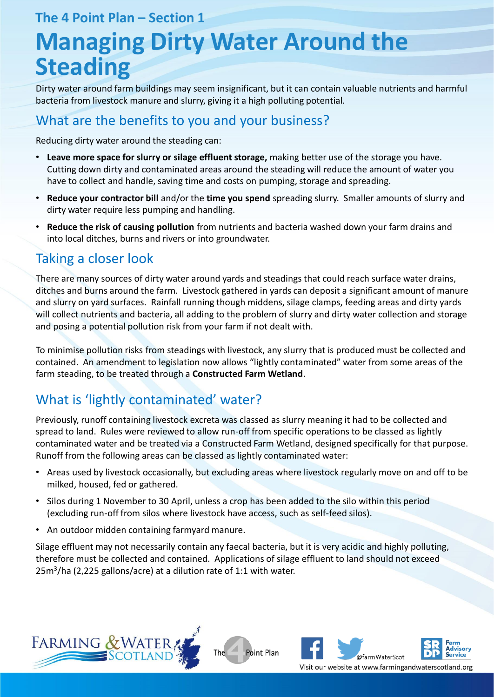#### **The 4 Point Plan – Section 1**

# **Managing Dirty Water Around the Steading**

Dirty water around farm buildings may seem insignificant, but it can contain valuable nutrients and harmful bacteria from livestock manure and slurry, giving it a high polluting potential.

# What are the benefits to you and your business?

Reducing dirty water around the steading can:

- **Leave more space for slurry or silage effluent storage,** making better use of the storage you have. Cutting down dirty and contaminated areas around the steading will reduce the amount of water you have to collect and handle, saving time and costs on pumping, storage and spreading.
- **Reduce your contractor bill** and/or the **time you spend** spreading slurry. Smaller amounts of slurry and dirty water require less pumping and handling.
- **Reduce the risk of causing pollution** from nutrients and bacteria washed down your farm drains and into local ditches, burns and rivers or into groundwater.

# Taking a closer look

There are many sources of dirty water around yards and steadings that could reach surface water drains, ditches and burns around the farm. Livestock gathered in yards can deposit a significant amount of manure and slurry on yard surfaces. Rainfall running though middens, silage clamps, feeding areas and dirty yards will collect nutrients and bacteria, all adding to the problem of slurry and dirty water collection and storage and posing a potential pollution risk from your farm if not dealt with.

To minimise pollution risks from steadings with livestock, any slurry that is produced must be collected and contained. An amendment to legislation now allows "lightly contaminated" water from some areas of the farm steading, to be treated through a **Constructed Farm Wetland**.

# What is 'lightly contaminated' water?

Previously, runoff containing livestock excreta was classed as slurry meaning it had to be collected and spread to land. Rules were reviewed to allow run-off from specific operations to be classed as lightly contaminated water and be treated via a Constructed Farm Wetland, designed specifically for that purpose. Runoff from the following areas can be classed as lightly contaminated water:

- Areas used by livestock occasionally, but excluding areas where livestock regularly move on and off to be milked, housed, fed or gathered.
- Silos during 1 November to 30 April, unless a crop has been added to the silo within this period (excluding run-off from silos where livestock have access, such as self-feed silos).
- An outdoor midden containing farmyard manure.

Silage effluent may not necessarily contain any faecal bacteria, but it is very acidic and highly polluting, therefore must be collected and contained. Applications of silage effluent to land should not exceed 25m<sup>3</sup> /ha (2,225 gallons/acre) at a dilution rate of 1:1 with water.

The

Point Plan



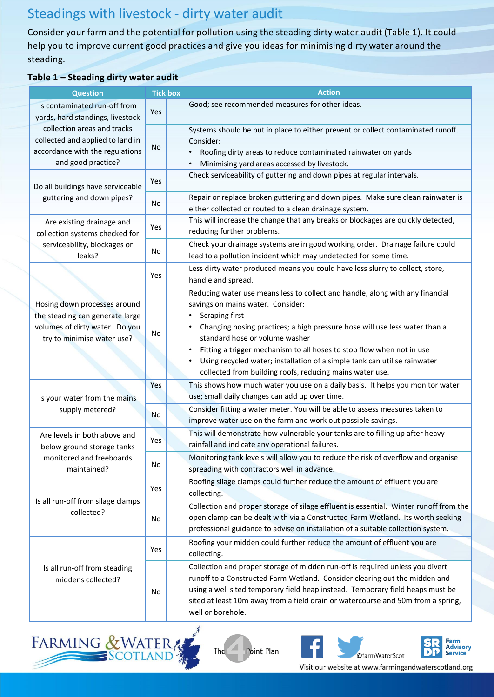# Steadings with livestock - dirty water audit

Consider your farm and the potential for pollution using the steading dirty water audit (Table 1). It could help you to improve current good practices and give you ideas for minimising dirty water around the steading.

#### **Table 1 – Steading dirty water audit**

| <b>Question</b>                                                                                                                 | <b>Tick box</b> | <b>Action</b>                                                                                                                                                                                                                                                                                                                                                                                                                                                                                   |
|---------------------------------------------------------------------------------------------------------------------------------|-----------------|-------------------------------------------------------------------------------------------------------------------------------------------------------------------------------------------------------------------------------------------------------------------------------------------------------------------------------------------------------------------------------------------------------------------------------------------------------------------------------------------------|
| Is contaminated run-off from<br>yards, hard standings, livestock                                                                | Yes             | Good; see recommended measures for other ideas.                                                                                                                                                                                                                                                                                                                                                                                                                                                 |
| collection areas and tracks<br>collected and applied to land in<br>accordance with the regulations<br>and good practice?        | No              | Systems should be put in place to either prevent or collect contaminated runoff.<br>Consider:<br>Roofing dirty areas to reduce contaminated rainwater on yards<br>Minimising yard areas accessed by livestock.                                                                                                                                                                                                                                                                                  |
| Do all buildings have serviceable<br>guttering and down pipes?                                                                  | Yes             | Check serviceability of guttering and down pipes at regular intervals.                                                                                                                                                                                                                                                                                                                                                                                                                          |
|                                                                                                                                 | No.             | Repair or replace broken guttering and down pipes. Make sure clean rainwater is<br>either collected or routed to a clean drainage system.                                                                                                                                                                                                                                                                                                                                                       |
| Are existing drainage and<br>collection systems checked for<br>serviceability, blockages or<br>leaks?                           | Yes             | This will increase the change that any breaks or blockages are quickly detected,<br>reducing further problems.                                                                                                                                                                                                                                                                                                                                                                                  |
|                                                                                                                                 | No              | Check your drainage systems are in good working order. Drainage failure could<br>lead to a pollution incident which may undetected for some time.                                                                                                                                                                                                                                                                                                                                               |
|                                                                                                                                 | Yes             | Less dirty water produced means you could have less slurry to collect, store,<br>handle and spread.                                                                                                                                                                                                                                                                                                                                                                                             |
| Hosing down processes around<br>the steading can generate large<br>volumes of dirty water. Do you<br>try to minimise water use? | No              | Reducing water use means less to collect and handle, along with any financial<br>savings on mains water. Consider:<br><b>Scraping first</b><br>$\bullet$<br>Changing hosing practices; a high pressure hose will use less water than a<br>standard hose or volume washer<br>Fitting a trigger mechanism to all hoses to stop flow when not in use<br>٠<br>Using recycled water; installation of a simple tank can utilise rainwater<br>collected from building roofs, reducing mains water use. |
| Is your water from the mains<br>supply metered?                                                                                 | Yes             | This shows how much water you use on a daily basis. It helps you monitor water<br>use; small daily changes can add up over time.                                                                                                                                                                                                                                                                                                                                                                |
|                                                                                                                                 | <b>No</b>       | Consider fitting a water meter. You will be able to assess measures taken to<br>improve water use on the farm and work out possible savings.                                                                                                                                                                                                                                                                                                                                                    |
| Are levels in both above and<br>below ground storage tanks<br>monitored and freeboards<br>maintained?                           | Yes             | This will demonstrate how vulnerable your tanks are to filling up after heavy<br>rainfall and indicate any operational failures.                                                                                                                                                                                                                                                                                                                                                                |
|                                                                                                                                 | No              | Monitoring tank levels will allow you to reduce the risk of overflow and organise<br>spreading with contractors well in advance.                                                                                                                                                                                                                                                                                                                                                                |
| Is all run-off from silage clamps<br>collected?                                                                                 | Yes             | Roofing silage clamps could further reduce the amount of effluent you are<br>collecting.                                                                                                                                                                                                                                                                                                                                                                                                        |
|                                                                                                                                 | No              | Collection and proper storage of silage effluent is essential. Winter runoff from the<br>open clamp can be dealt with via a Constructed Farm Wetland. Its worth seeking<br>professional guidance to advise on installation of a suitable collection system.                                                                                                                                                                                                                                     |
| Is all run-off from steading<br>middens collected?                                                                              | Yes             | Roofing your midden could further reduce the amount of effluent you are<br>collecting.                                                                                                                                                                                                                                                                                                                                                                                                          |
|                                                                                                                                 | No              | Collection and proper storage of midden run-off is required unless you divert<br>runoff to a Constructed Farm Wetland. Consider clearing out the midden and<br>using a well sited temporary field heap instead. Temporary field heaps must be<br>sited at least 10m away from a field drain or watercourse and 50m from a spring,<br>well or borehole.                                                                                                                                          |



 $The$   $\overline{\phantom{a}}$ Point Plan





Visit our website at www.farmingandwaterscotland.org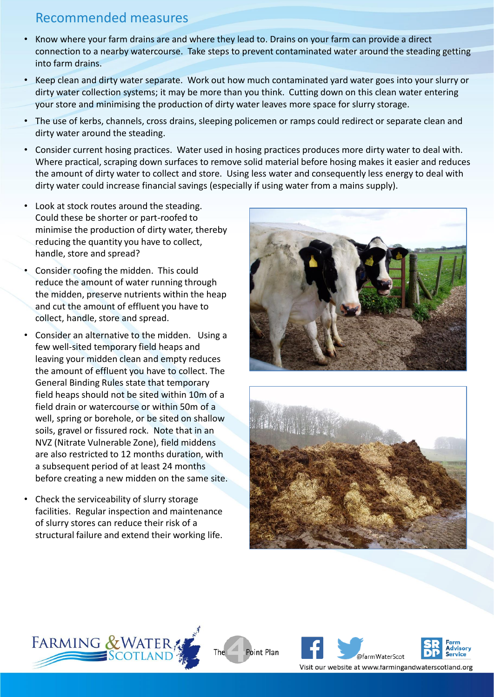#### Recommended measures

- Know where your farm drains are and where they lead to. Drains on your farm can provide a direct connection to a nearby watercourse. Take steps to prevent contaminated water around the steading getting into farm drains.
- Keep clean and dirty water separate. Work out how much contaminated yard water goes into your slurry or dirty water collection systems; it may be more than you think. Cutting down on this clean water entering your store and minimising the production of dirty water leaves more space for slurry storage.
- The use of kerbs, channels, cross drains, sleeping policemen or ramps could redirect or separate clean and dirty water around the steading.
- Consider current hosing practices. Water used in hosing practices produces more dirty water to deal with. Where practical, scraping down surfaces to remove solid material before hosing makes it easier and reduces the amount of dirty water to collect and store. Using less water and consequently less energy to deal with dirty water could increase financial savings (especially if using water from a mains supply).
- Look at stock routes around the steading. Could these be shorter or part-roofed to minimise the production of dirty water, thereby reducing the quantity you have to collect, handle, store and spread?
- Consider roofing the midden. This could reduce the amount of water running through the midden, preserve nutrients within the heap and cut the amount of effluent you have to collect, handle, store and spread.
- Consider an alternative to the midden. Using a few well-sited temporary field heaps and leaving your midden clean and empty reduces the amount of effluent you have to collect. The General Binding Rules state that temporary field heaps should not be sited within 10m of a field drain or watercourse or within 50m of a well, spring or borehole, or be sited on shallow soils, gravel or fissured rock. Note that in an NVZ (Nitrate Vulnerable Zone), field middens are also restricted to 12 months duration, with a subsequent period of at least 24 months before creating a new midden on the same site.
- Check the serviceability of slurry storage facilities. Regular inspection and maintenance of slurry stores can reduce their risk of a structural failure and extend their working life.









**The** 



Visit our website at www.farmingandwaterscotland.org